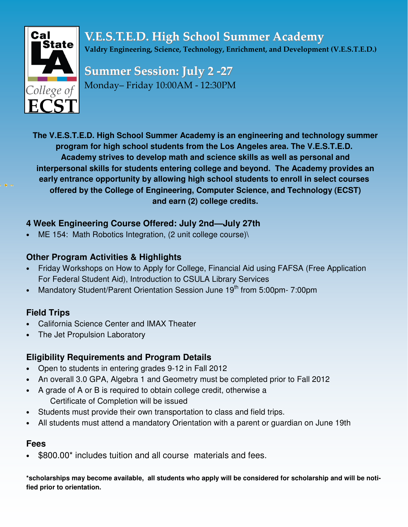

**V.E.S.T.E.D. High School Summer Academy** Valdry Engineering, Science, Technology, Enrichment, and Development (V.E.S.T.E.D.)

**Summer Session: July 2 -27** Monday– Friday 10:00AM - 12:30PN

**The V.E.S.T.E.D. High School Summer Academy is an engineering and technology summer program for high school students from the Los Angeles area. The V.E.S.T.E.D. Academy strives to develop math and science skills as well as personal and interpersonal skills for students entering college and beyond. The Academy provides an early entrance opportunity by allowing high school students to enroll in select courses offered by the College of Engineering, Computer Science, and Technology (ECST) and earn (2) college credits.**

# **4 Week Engineering Course Offered: July 2nd—July 27th**

ME 154: Math Robotics Integration, (2 unit college course)\

## **Other Program Activities & Highlights**

- Friday Workshops on How to Apply for College, Financial Aid using FAFSA (Free Application For Federal Student Aid), Introduction to CSULA Library Services
- Mandatory Student/Parent Orientation Session June 19<sup>th</sup> from 5:00pm- 7:00pm

# **Field Trips**

- California Science Center and IMAX Theater
- The Jet Propulsion Laboratory

# **Eligibility Requirements and Program Details**

- Open to students in entering grades 9-12 in Fall 2012
- An overall 3.0 GPA, Algebra 1 and Geometry must be completed prior to Fall 2012
- A grade of A or B is required to obtain college credit, otherwise a Certificate of Completion will be issued
- Students must provide their own transportation to class and field trips.
- All students must attend a mandatory Orientation with a parent or guardian on June 19th

## **Fees**

\$800.00<sup>\*</sup> includes tuition and all course materials and fees.

\*scholarships may become available, all students who apply will be considered for scholarship and will be noti**fied prior to orientation.**